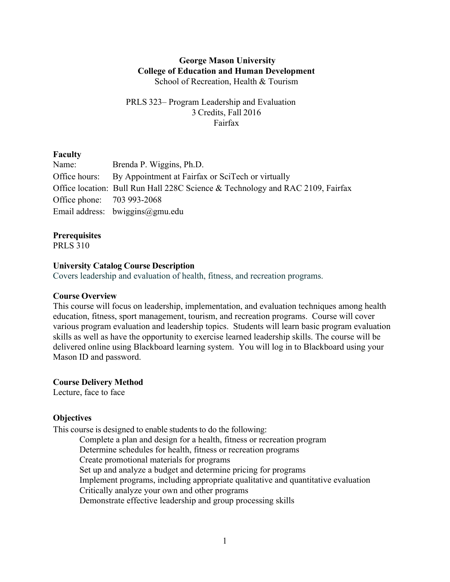#### **George Mason University College of Education and Human Development** School of Recreation, Health & Tourism

## PRLS 323– Program Leadership and Evaluation 3 Credits, Fall 2016 Fairfax

#### **Faculty**

| Name:                      | Brenda P. Wiggins, Ph.D.                                                       |
|----------------------------|--------------------------------------------------------------------------------|
|                            | Office hours: By Appointment at Fairfax or SciTech or virtually                |
|                            | Office location: Bull Run Hall 228C Science & Technology and RAC 2109, Fairfax |
| Office phone: 703 993-2068 |                                                                                |
|                            | Email address: $bwiggins@gmu.edu$                                              |

#### **Prerequisites**

PRLS 310

#### **University Catalog Course Description**

Covers leadership and evaluation of health, fitness, and recreation programs.

#### **Course Overview**

This course will focus on leadership, implementation, and evaluation techniques among health education, fitness, sport management, tourism, and recreation programs. Course will cover various program evaluation and leadership topics. Students will learn basic program evaluation skills as well as have the opportunity to exercise learned leadership skills. The course will be delivered online using Blackboard learning system. You will log in to Blackboard using your Mason ID and password.

**Course Delivery Method**

Lecture, face to face

#### **Objectives**

This course is designed to enable students to do the following:

Complete a plan and design for a health, fitness or recreation program Determine schedules for health, fitness or recreation programs Create promotional materials for programs Set up and analyze a budget and determine pricing for programs Implement programs, including appropriate qualitative and quantitative evaluation Critically analyze your own and other programs Demonstrate effective leadership and group processing skills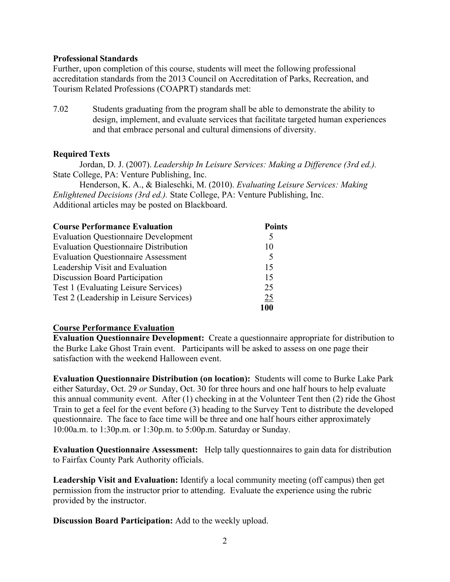#### **Professional Standards**

Further, upon completion of this course, students will meet the following professional accreditation standards from the 2013 Council on Accreditation of Parks, Recreation, and Tourism Related Professions (COAPRT) standards met:

7.02 Students graduating from the program shall be able to demonstrate the ability to design, implement, and evaluate services that facilitate targeted human experiences and that embrace personal and cultural dimensions of diversity.

#### **Required Texts**

Jordan, D. J. (2007). *Leadership In Leisure Services: Making a Difference (3rd ed.).*  State College, PA: Venture Publishing, Inc.

Henderson, K. A., & Bialeschki, M. (2010). *Evaluating Leisure Services: Making Enlightened Decisions (3rd ed.).* State College, PA: Venture Publishing, Inc. Additional articles may be posted on Blackboard.

| <b>Course Performance Evaluation</b>         | <b>Points</b> |
|----------------------------------------------|---------------|
| <b>Evaluation Questionnaire Development</b>  | 5             |
| <b>Evaluation Questionnaire Distribution</b> | 10            |
| <b>Evaluation Questionnaire Assessment</b>   | 5             |
| Leadership Visit and Evaluation              | 15            |
| Discussion Board Participation               | 15            |
| Test 1 (Evaluating Leisure Services)         | 25            |
| Test 2 (Leadership in Leisure Services)      | 25            |
|                                              | 100           |

#### **Course Performance Evaluation**

**Evaluation Questionnaire Development:** Create a questionnaire appropriate for distribution to the Burke Lake Ghost Train event. Participants will be asked to assess on one page their satisfaction with the weekend Halloween event.

**Evaluation Questionnaire Distribution (on location):** Students will come to Burke Lake Park either Saturday, Oct. 29 *or* Sunday, Oct. 30 for three hours and one half hours to help evaluate this annual community event. After (1) checking in at the Volunteer Tent then (2) ride the Ghost Train to get a feel for the event before (3) heading to the Survey Tent to distribute the developed questionnaire. The face to face time will be three and one half hours either approximately 10:00a.m. to 1:30p.m. or 1:30p.m. to 5:00p.m. Saturday or Sunday.

**Evaluation Questionnaire Assessment:** Help tally questionnaires to gain data for distribution to Fairfax County Park Authority officials.

**Leadership Visit and Evaluation:** Identify a local community meeting (off campus) then get permission from the instructor prior to attending. Evaluate the experience using the rubric provided by the instructor.

**Discussion Board Participation:** Add to the weekly upload.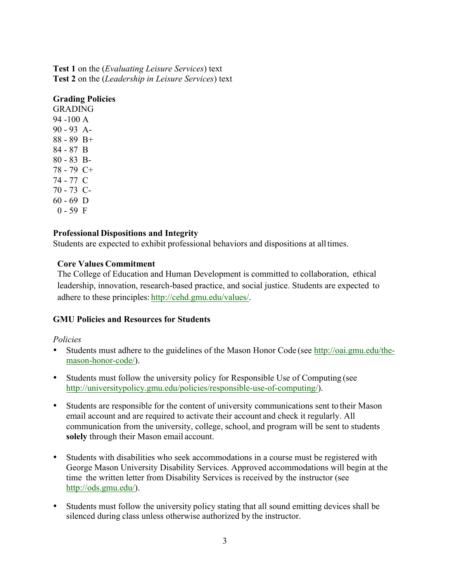**Test 1** on the (*Evaluating Leisure Services*) text **Test 2** on the (*Leadership in Leisure Services*) text

## **Grading Policies**

GRADING 94 -100 A 90 - 93 A-88 - 89 B+ 84 - 87 B 80 - 83 B-78 - 79 C+ 74 - 77 C 70 - 73 C- $60 - 69$  D  $0 - 59$  F

## **Professional Dispositions and Integrity**

Students are expected to exhibit professional behaviors and dispositions at alltimes.

## **Core Values Commitment**

The College of Education and Human Development is committed to collaboration, ethical leadership, innovation, research-based practice, and social justice. Students are expected to adhere to these principles: http://cehd.gmu.edu/values/.

## **GMU Policies and Resources for Students**

## *Policies*

- Students must adhere to the guidelines of the Mason Honor Code (see http://oai.gmu.edu/themason-honor-code/).
- Students must follow the university policy for Responsible Use of Computing (see http://universitypolicy.gmu.edu/policies/responsible-use-of-computing/).
- Students are responsible for the content of university communications sent to their Mason email account and are required to activate their account and check it regularly. All communication from the university, college, school, and program will be sent to students **solely** through their Mason email account.
- Students with disabilities who seek accommodations in a course must be registered with George Mason University Disability Services. Approved accommodations will begin at the time the written letter from Disability Services is received by the instructor (see http://ods.gmu.edu/).
- Students must follow the university policy stating that all sound emitting devices shall be silenced during class unless otherwise authorized by the instructor.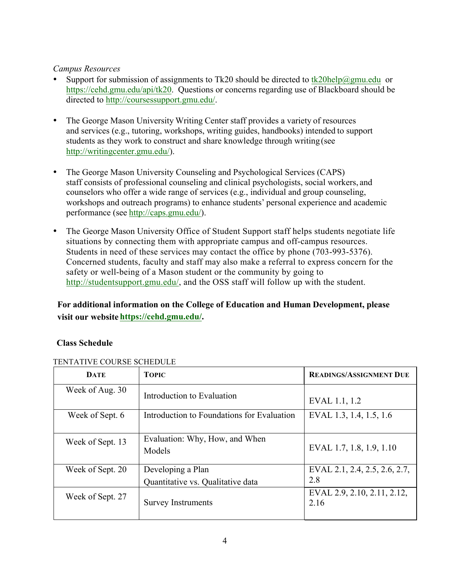### *Campus Resources*

- Support for submission of assignments to Tk20 should be directed to tk20help@gmu.edu or https://cehd.gmu.edu/api/tk20. Questions or concerns regarding use of Blackboard should be directed to http://coursessupport.gmu.edu/.
- The George Mason University Writing Center staff provides a variety of resources and services (e.g., tutoring, workshops, writing guides, handbooks) intended to support students as they work to construct and share knowledge through writing (see http://writingcenter.gmu.edu/).
- The George Mason University Counseling and Psychological Services (CAPS) staff consists of professional counseling and clinical psychologists, social workers, and counselors who offer a wide range of services (e.g., individual and group counseling, workshops and outreach programs) to enhance students' personal experience and academic performance (see http://caps.gmu.edu/).
- The George Mason University Office of Student Support staff helps students negotiate life situations by connecting them with appropriate campus and off-campus resources. Students in need of these services may contact the office by phone (703-993-5376). Concerned students, faculty and staff may also make a referral to express concern for the safety or well-being of a Mason student or the community by going to http://studentsupport.gmu.edu/, and the OSS staff will follow up with the student.

# **For additional information on the College of Education and Human Development, please visit our website https://cehd.gmu.edu/.**

## **Class Schedule**

| <b>DATE</b>      | <b>TOPIC</b>                                           | <b>READINGS/ASSIGNMENT DUE</b>       |
|------------------|--------------------------------------------------------|--------------------------------------|
| Week of Aug. 30  | Introduction to Evaluation                             | EVAL 1.1, 1.2                        |
| Week of Sept. 6  | Introduction to Foundations for Evaluation             | EVAL 1.3, 1.4, 1.5, 1.6              |
| Week of Sept. 13 | Evaluation: Why, How, and When<br>Models               | EVAL 1.7, 1.8, 1.9, 1.10             |
| Week of Sept. 20 | Developing a Plan<br>Quantitative vs. Qualitative data | EVAL 2.1, 2.4, 2.5, 2.6, 2.7,<br>2.8 |
| Week of Sept. 27 | <b>Survey Instruments</b>                              | EVAL 2.9, 2.10, 2.11, 2.12,<br>2.16  |

## TENTATIVE COURSE SCHEDULE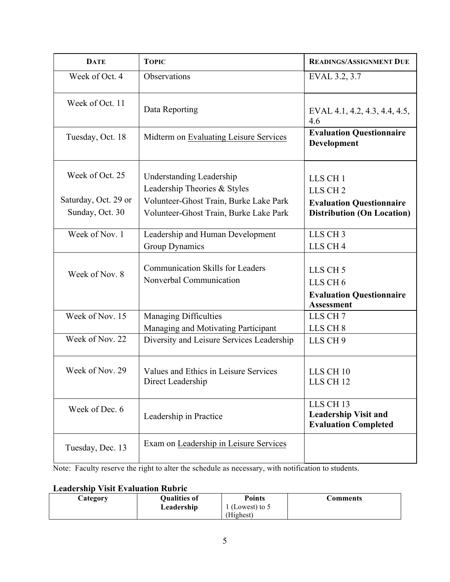| <b>DATE</b>                             | <b>TOPIC</b>                                                                                              | <b>READINGS/ASSIGNMENT DUE</b>                                                                     |
|-----------------------------------------|-----------------------------------------------------------------------------------------------------------|----------------------------------------------------------------------------------------------------|
| Week of Oct. 4                          | Observations                                                                                              | EVAL 3.2, 3.7                                                                                      |
| Week of Oct. 11                         | Data Reporting                                                                                            | EVAL 4.1, 4.2, 4.3, 4.4, 4.5,<br>4.6                                                               |
| Tuesday, Oct. 18                        | Midterm on Evaluating Leisure Services                                                                    | <b>Evaluation Questionnaire</b><br>Development                                                     |
| Week of Oct. 25<br>Saturday, Oct. 29 or | <b>Understanding Leadership</b><br>Leadership Theories & Styles<br>Volunteer-Ghost Train, Burke Lake Park | LLS CH <sub>1</sub><br>LLS CH <sub>2</sub><br><b>Evaluation Questionnaire</b>                      |
| Sunday, Oct. 30                         | Volunteer-Ghost Train, Burke Lake Park                                                                    | <b>Distribution (On Location)</b>                                                                  |
| Week of Nov. 1                          | Leadership and Human Development<br>Group Dynamics                                                        | LLS CH <sub>3</sub><br>LLS CH <sub>4</sub>                                                         |
| Week of Nov. 8                          | <b>Communication Skills for Leaders</b><br>Nonverbal Communication                                        | LLS CH <sub>5</sub><br>LLS CH <sub>6</sub><br><b>Evaluation Questionnaire</b><br><b>Assessment</b> |
| Week of Nov. 15                         | Managing Difficulties<br>Managing and Motivating Participant                                              | LLS CH <sub>7</sub><br>LLS CH <sub>8</sub>                                                         |
| Week of Nov. 22                         | Diversity and Leisure Services Leadership                                                                 | LLS CH <sub>9</sub>                                                                                |
| Week of Nov. 29                         | Values and Ethics in Leisure Services<br>Direct Leadership                                                | LLS CH <sub>10</sub><br>LLS CH <sub>12</sub>                                                       |
| Week of Dec. 6                          | Leadership in Practice                                                                                    | LLS CH <sub>13</sub><br><b>Leadership Visit and</b><br><b>Evaluation Completed</b>                 |
| Tuesday, Dec. 13                        | Exam on Leadership in Leisure Services                                                                    |                                                                                                    |

Note: Faculty reserve the right to alter the schedule as necessary, with notification to students.

# **Leadership Visit Evaluation Rubric**

| <b>Category</b> | <b>Qualities of</b> | <b>Points</b>   | Comments |
|-----------------|---------------------|-----------------|----------|
|                 | Leadership          | (Lowest) to $5$ |          |
|                 |                     | (Highest)       |          |